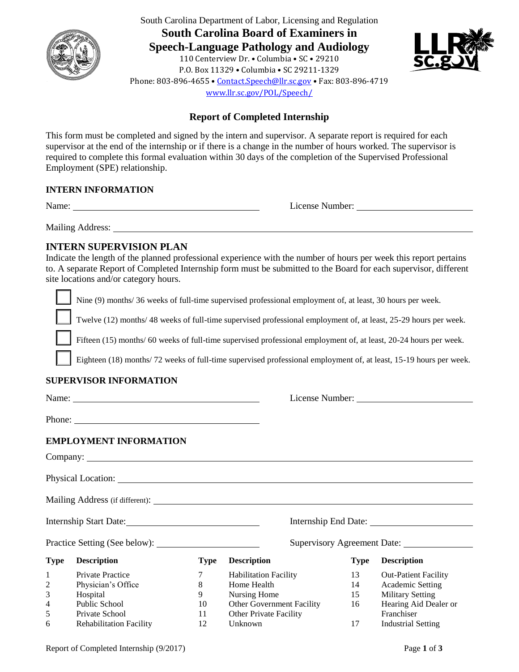

South Carolina Department of Labor, Licensing and Regulation **South Carolina Board of Examiners in Speech-Language Pathology and Audiology** 110 Centerview Dr. • Columbia • SC • 29210 P.O. Box 11329 • Columbia • SC 29211-1329 Phone: 803-896-4655 • Contact.Speech@llr.sc.gov • Fax: 803-896-4719 www.llr.sc.gov/POL/Speech/



# **Report of Completed Internship**

This form must be completed and signed by the intern and supervisor. A separate report is required for each supervisor at the end of the internship or if there is a change in the number of hours worked. The supervisor is required to complete this formal evaluation within 30 days of the completion of the Supervised Professional Employment (SPE) relationship.

#### **INTERN INFORMATION**

Name: License Number:

I

Mailing Address: \_\_\_\_\_\_\_

### **INTERN SUPERVISION PLAN**

Indicate the length of the planned professional experience with the number of hours per week this report pertains to. A separate Report of Completed Internship form must be submitted to the Board for each supervisor, different site locations and/or category hours.

Nine (9) months/ 36 weeks of full-time supervised professional employment of, at least, 30 hours per week.

Twelve (12) months/ 48 weeks of full-time supervised professional employment of, at least, 25-29 hours per week.

Fifteen (15) months/ 60 weeks of full-time supervised professional employment of, at least, 20-24 hours per week.

Eighteen (18) months/ 72 weeks of full-time supervised professional employment of, at least, 15-19 hours per week.

#### **SUPERVISOR INFORMATION**

| Name: $\frac{1}{2}$ |                                |             |                              |             |                             |  |
|---------------------|--------------------------------|-------------|------------------------------|-------------|-----------------------------|--|
|                     | Phone:                         |             |                              |             |                             |  |
|                     | <b>EMPLOYMENT INFORMATION</b>  |             |                              |             |                             |  |
|                     |                                |             |                              |             |                             |  |
|                     |                                |             |                              |             |                             |  |
|                     |                                |             |                              |             |                             |  |
|                     | Internship Start Date:         |             |                              |             |                             |  |
|                     |                                |             |                              |             |                             |  |
| <b>Type</b>         | <b>Description</b>             | <b>Type</b> | <b>Description</b>           | <b>Type</b> | <b>Description</b>          |  |
| $\mathbf{1}$        | <b>Private Practice</b>        | $\tau$      | <b>Habilitation Facility</b> | 13          | <b>Out-Patient Facility</b> |  |
| $\overline{c}$      | Physician's Office             | 8           | Home Health                  | 14          | Academic Setting            |  |
| 3                   | Hospital                       | 9           | Nursing Home                 | 15          | <b>Military Setting</b>     |  |
| 4                   | Public School                  | 10          | Other Government Facility    | 16          | Hearing Aid Dealer or       |  |
| 5                   | Private School                 | 11          | Other Private Facility       |             | Franchiser                  |  |
| 6                   | <b>Rehabilitation Facility</b> | 12          | Unknown                      | 17          | <b>Industrial Setting</b>   |  |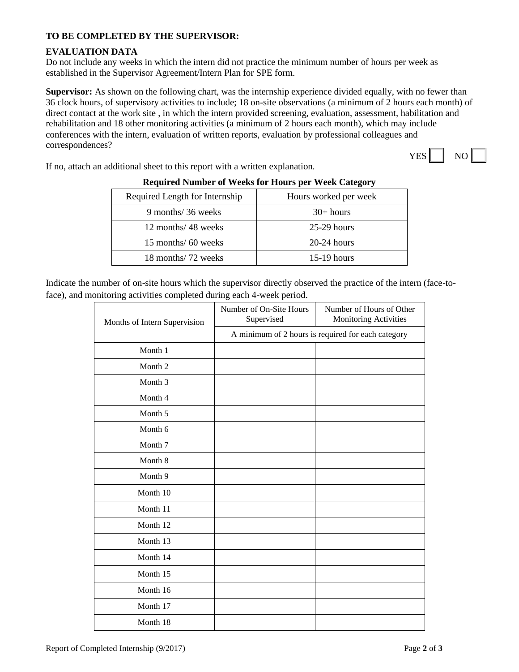#### **TO BE COMPLETED BY THE SUPERVISOR:**

#### **EVALUATION DATA**

Do not include any weeks in which the intern did not practice the minimum number of hours per week as established in the Supervisor Agreement/Intern Plan for SPE form.

**Supervisor:** As shown on the following chart, was the internship experience divided equally, with no fewer than 36 clock hours, of supervisory activities to include; 18 on-site observations (a minimum of 2 hours each month) of direct contact at the work site , in which the intern provided screening, evaluation, assessment, habilitation and rehabilitation and 18 other monitoring activities (a minimum of 2 hours each month), which may include conferences with the intern, evaluation of written reports, evaluation by professional colleagues and correspondences?  $YES$   $\parallel$  NO

If no, attach an additional sheet to this report with a written explanation.

| Required Length for Internship | Hours worked per week |
|--------------------------------|-----------------------|
| 9 months/36 weeks              | $30+ hours$           |
| 12 months/48 weeks             | $25-29$ hours         |
| 15 months/ 60 weeks            | $20-24$ hours         |
| 18 months/ 72 weeks            | $15-19$ hours         |

**Required Number of Weeks for Hours per Week Category**

Indicate the number of on-site hours which the supervisor directly observed the practice of the intern (face-toface), and monitoring activities completed during each 4-week period.

| Months of Intern Supervision | Number of On-Site Hours<br>Supervised              | Number of Hours of Other<br>Monitoring Activities |  |  |
|------------------------------|----------------------------------------------------|---------------------------------------------------|--|--|
|                              | A minimum of 2 hours is required for each category |                                                   |  |  |
| Month 1                      |                                                    |                                                   |  |  |
| Month 2                      |                                                    |                                                   |  |  |
| Month 3                      |                                                    |                                                   |  |  |
| Month 4                      |                                                    |                                                   |  |  |
| Month 5                      |                                                    |                                                   |  |  |
| Month 6                      |                                                    |                                                   |  |  |
| Month 7                      |                                                    |                                                   |  |  |
| Month 8                      |                                                    |                                                   |  |  |
| Month 9                      |                                                    |                                                   |  |  |
| Month 10                     |                                                    |                                                   |  |  |
| Month 11                     |                                                    |                                                   |  |  |
| Month 12                     |                                                    |                                                   |  |  |
| Month 13                     |                                                    |                                                   |  |  |
| Month 14                     |                                                    |                                                   |  |  |
| Month 15                     |                                                    |                                                   |  |  |
| Month 16                     |                                                    |                                                   |  |  |
| Month 17                     |                                                    |                                                   |  |  |
| Month 18                     |                                                    |                                                   |  |  |